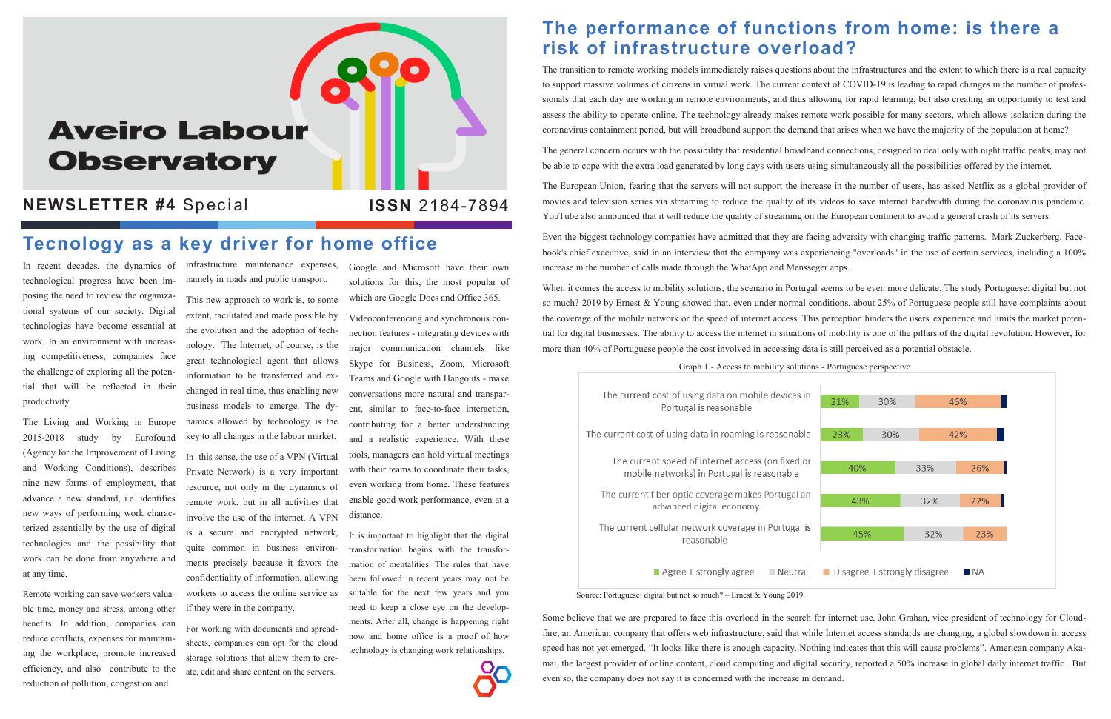# **Aveiro Labour Observatory**

#### **NEWSLETTER #4 Special**

In recent decades, the dynamics of infrastructure maintenance expenses, technological progress have been imposing the need to review the organizational systems of our society. Digital technologies have become essential at work. In an environment with increasing competitiveness, companies face the challenge of exploring all the potential that will be reflected in their productivity.

The Living and Working in Europe 2015-2018 study by Eurofound (Agency for the Improvement of Living and Working Conditions), describes nine new forms of employment, that advance a new standard, i.e. identifies new ways of performing work characterized essentially by the use of digital technologies and the possibility that work can be done from anywhere and at any time.

Remote working can save workers valuable time, money and stress, among other benefits. In addition, companies can reduce conflicts, expenses for maintaining the workplace, promote increased efficiency, and also contribute to the reduction of pollution, congestion and

namely in roads and public transport.

This new approach to work is, to some extent, facilitated and made possible by the evolution and the adoption of technology. The Internet, of course, is the great technological agent that allows information to be transferred and exchanged in real time, thus enabling new business models to emerge. The dynamics allowed by technology is the key to all changes in the labour market. In this sense, the use of a VPN (Virtual Private Network) is a very important resource, not only in the dynamics of remote work, but in all activities that involve the use of the internet. A VPN is a secure and encrypted network, quite common in business environments precisely because it favors the confidentiality of information, allowing workers to access the online service as if they were in the company.

For working with documents and spreadsheets, companies can opt for the cloud storage solutions that allow them to create, edit and share content on the servers.

Google and Microsoft have their own solutions for this, the most popular of which are Google Docs and Office 365.

Videoconferencing and synchronous connection features - integrating devices with major communication channels like Skype for Business, Zoom, Microsoft Teams and Google with Hangouts - make conversations more natural and transparent, similar to face-to-face interaction, contributing for a better understanding and a realistic experience. With these tools, managers can hold virtual meetings with their teams to coordinate their tasks, even working from home. These features enable good work performance, even at a distance.

It is important to highlight that the digital transformation begins with the transformation of mentalities. The rules that have been followed in recent years may not be suitable for the next few years and you need to keep a close eye on the developments. After all, change is happening right now and home office is a proof of how technology is changing work relationships.



### **The performance of functions from home: is there a risk of infrastructure overload?**

The transition to remote working models immediately raises questions about the infrastructures and the extent to which there is a real capacity to support massive volumes of citizens in virtual work. The current context of COVID-19 is leading to rapid changes in the number of professionals that each day are working in remote environments, and thus allowing for rapid learning, but also creating an opportunity to test and assess the ability to operate online. The technology already makes remote work possible for many sectors, which allows isolation during the coronavirus containment period, but will broadband support the demand that arises when we have the majority of the population at home?

The general concern occurs with the possibility that residential broadband connections, designed to deal only with night traffic peaks, may not be able to cope with the extra load generated by long days with users using simultaneously all the possibilities offered by the internet.

The European Union, fearing that the servers will not support the increase in the number of users, has asked Netflix as a global provider of movies and television series via streaming to reduce the quality of its videos to save internet bandwidth during the coronavirus pandemic. YouTube also announced that it will reduce the quality of streaming on the European continent to avoid a general crash of its servers.

Even the biggest technology companies have admitted that they are facing adversity with changing traffic patterns. Mark Zuckerberg, Facebook's chief executive, said in an interview that the company was experiencing "overloads" in the use of certain services, including a 100% increase in the number of calls made through the WhatApp and Mensseger apps.

When it comes the access to mobility solutions, the scenario in Portugal seems to be even more delicate. The study Portuguese: digital but not so much? 2019 by Ernest & Young showed that, even under normal conditions, about 25% of Portuguese people still have complaints about the coverage of the mobile network or the speed of internet access. This perception hinders the users' experience and limits the market potential for digital businesses. The ability to access the internet in situations of mobility is one of the pillars of the digital revolution. However, for more than 40% of Portuguese people the cost involved in accessing data is still perceived as a potential obstacle.

# **Tecnology as a key driver for home office**

#### Source: Portuguese: digital but not so much? – Ernest & Young 2019

Graph 1 - Access to mobility solutions - Portuguese perspective

The current cost of using data on mobile devices in Portugal is reasonable

The current cost of using data in roaming is reasonable

The current speed of internet access (on fixed or mobile networks) in Portugal is reasonable

The current fiber optic coverage makes Portugal an advanced digital economy

The current cellular network coverage in Portugal is reasonable

Agree + strongly agree Neutral

Some believe that we are prepared to face this overload in the search for internet use. John Grahan, vice president of technology for Cloudfare, an American company that offers web infrastructure, said that while Internet access standards are changing, a global slowdown in access speed has not yet emerged. "It looks like there is enough capacity. Nothing indicates that this will cause problems". American company Akamai, the largest provider of online content, cloud computing and digital security, reported a 50% increase in global daily internet traffic . But even so, the company does not say it is concerned with the increase in demand.



#### **ISSN** 2184-7894